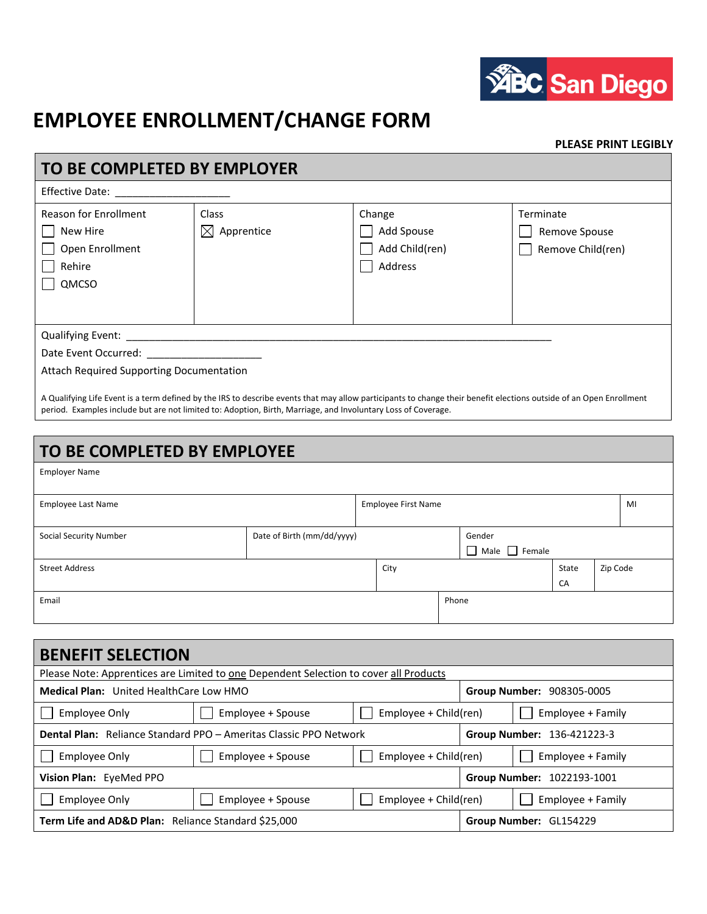

## **EMPLOYEE ENROLLMENT/CHANGE FORM**

## **PLEASE PRINT LEGIBLY**

| TO BE COMPLETED BY EMPLOYER                                                            |                                        |                                                                                                                                                                     |                                                 |
|----------------------------------------------------------------------------------------|----------------------------------------|---------------------------------------------------------------------------------------------------------------------------------------------------------------------|-------------------------------------------------|
| Effective Date: <u>_______________</u>                                                 |                                        |                                                                                                                                                                     |                                                 |
| <b>Reason for Enrollment</b><br>New Hire<br>Open Enrollment<br>Rehire<br>QMCSO         | <b>Class</b><br>$\boxtimes$ Apprentice | Change<br>Add Spouse<br>Add Child(ren)<br>Address                                                                                                                   | Terminate<br>Remove Spouse<br>Remove Child(ren) |
| Date Event Occurred: National Section 2014<br>Attach Required Supporting Documentation |                                        | A Qualifying Life Event is a term defined by the IRS to describe events that may allow participants to change their benefit elections outside of an Open Enrollment |                                                 |

period. Examples include but are not limited to: Adoption, Birth, Marriage, and Involuntary Loss of Coverage.

| TO BE COMPLETED BY EMPLOYEE |                            |  |                            |       |                                     |             |          |    |
|-----------------------------|----------------------------|--|----------------------------|-------|-------------------------------------|-------------|----------|----|
| <b>Employer Name</b>        |                            |  |                            |       |                                     |             |          |    |
| <b>Employee Last Name</b>   |                            |  | <b>Employee First Name</b> |       |                                     |             |          | MI |
| Social Security Number      | Date of Birth (mm/dd/yyyy) |  |                            |       | Gender<br>$\Box$ Male $\Box$ Female |             |          |    |
| <b>Street Address</b>       |                            |  | City                       |       |                                     | State<br>CA | Zip Code |    |
| Email                       |                            |  |                            | Phone |                                     |             |          |    |

| <b>BENEFIT SELECTION</b>                                                                 |                                                                                       |                                            |  |                            |  |  |
|------------------------------------------------------------------------------------------|---------------------------------------------------------------------------------------|--------------------------------------------|--|----------------------------|--|--|
|                                                                                          | Please Note: Apprentices are Limited to one Dependent Selection to cover all Products |                                            |  |                            |  |  |
| <b>Medical Plan:</b> United HealthCare Low HMO<br>Group Number: 908305-0005              |                                                                                       |                                            |  |                            |  |  |
| <b>Employee Only</b>                                                                     | Employee + Spouse                                                                     | Employee + Family<br>Employee + Child(ren) |  |                            |  |  |
| <b>Dental Plan:</b> Reliance Standard PPO - Ameritas Classic PPO Network                 |                                                                                       |                                            |  | Group Number: 136-421223-3 |  |  |
| <b>Employee Only</b>                                                                     | Employee + Spouse                                                                     | Employee + Child(ren)                      |  | Employee + Family          |  |  |
| Vision Plan: EyeMed PPO<br>Group Number: 1022193-1001                                    |                                                                                       |                                            |  |                            |  |  |
| <b>Employee Only</b><br>Employee + Spouse<br>Employee + Child(ren)                       |                                                                                       |                                            |  | Employee + Family          |  |  |
| <b>Term Life and AD&amp;D Plan:</b> Reliance Standard \$25,000<br>Group Number: GL154229 |                                                                                       |                                            |  |                            |  |  |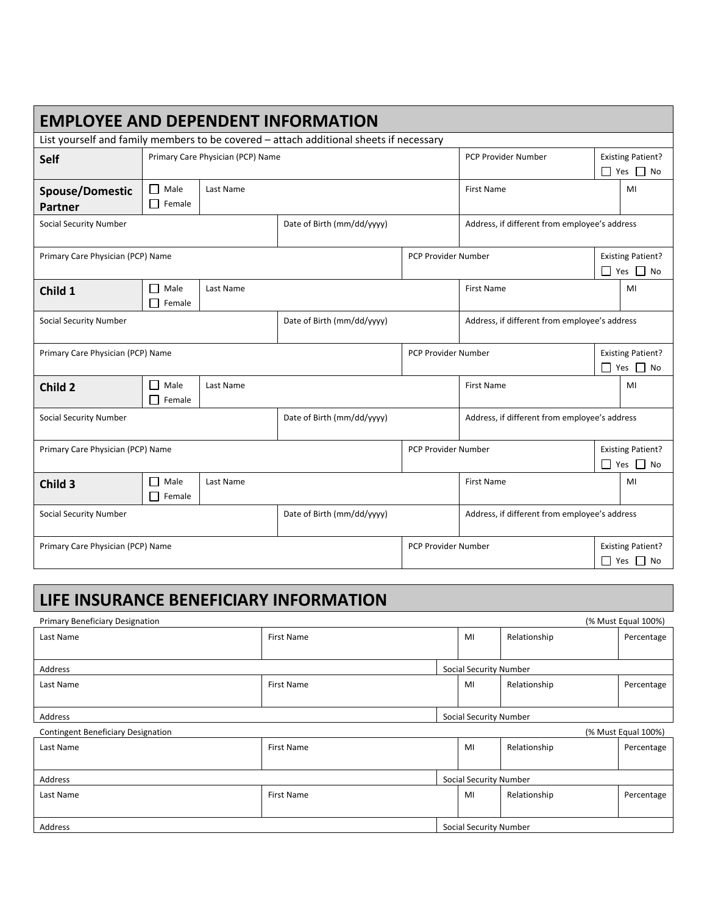| <b>EMPLOYEE AND DEPENDENT INFORMATION</b>                                              |                                   |           |                                               |                     |                                                |                                                  |                                                  |
|----------------------------------------------------------------------------------------|-----------------------------------|-----------|-----------------------------------------------|---------------------|------------------------------------------------|--------------------------------------------------|--------------------------------------------------|
| List yourself and family members to be covered - attach additional sheets if necessary |                                   |           |                                               |                     |                                                |                                                  |                                                  |
| Self                                                                                   | Primary Care Physician (PCP) Name |           |                                               | PCP Provider Number |                                                | <b>Existing Patient?</b><br>$\Box$ Yes $\Box$ No |                                                  |
| <b>Spouse/Domestic</b><br>Partner                                                      | Male<br>Female                    | Last Name |                                               |                     | <b>First Name</b>                              | MI                                               |                                                  |
| Social Security Number                                                                 |                                   |           | Date of Birth (mm/dd/yyyy)                    |                     | Address, if different from employee's address  |                                                  |                                                  |
| Primary Care Physician (PCP) Name                                                      |                                   |           | PCP Provider Number                           |                     | <b>Existing Patient?</b><br>П<br>Yes $\Box$ No |                                                  |                                                  |
| Child 1                                                                                | Male<br>Female                    | Last Name |                                               |                     | <b>First Name</b>                              |                                                  | MI                                               |
| <b>Social Security Number</b><br>Date of Birth (mm/dd/yyyy)                            |                                   |           | Address, if different from employee's address |                     |                                                |                                                  |                                                  |
| Primary Care Physician (PCP) Name                                                      |                                   |           |                                               | PCP Provider Number |                                                | <b>Existing Patient?</b><br>$\Box$ Yes $\Box$ No |                                                  |
| Child 2                                                                                | Male<br>Female                    | Last Name |                                               |                     | <b>First Name</b>                              |                                                  | MI                                               |
| <b>Social Security Number</b><br>Date of Birth (mm/dd/yyyy)                            |                                   |           | Address, if different from employee's address |                     |                                                |                                                  |                                                  |
| Primary Care Physician (PCP) Name                                                      |                                   |           | PCP Provider Number                           |                     | <b>Existing Patient?</b><br>П<br>Yes $\Box$ No |                                                  |                                                  |
| Child 3                                                                                | Male<br>Female                    | Last Name |                                               |                     | <b>First Name</b>                              |                                                  | MI                                               |
| <b>Social Security Number</b><br>Date of Birth (mm/dd/yyyy)                            |                                   |           | Address, if different from employee's address |                     |                                                |                                                  |                                                  |
| Primary Care Physician (PCP) Name                                                      |                                   |           |                                               | PCP Provider Number |                                                |                                                  | <b>Existing Patient?</b><br>$\Box$ Yes $\Box$ No |

| LIFE INSURANCE BENEFICIARY INFORMATION                           |                   |  |                        |                        |            |  |  |
|------------------------------------------------------------------|-------------------|--|------------------------|------------------------|------------|--|--|
| (% Must Equal 100%)<br><b>Primary Beneficiary Designation</b>    |                   |  |                        |                        |            |  |  |
| Last Name                                                        | <b>First Name</b> |  | MI                     | Relationship           | Percentage |  |  |
|                                                                  |                   |  |                        |                        |            |  |  |
| Address                                                          |                   |  | Social Security Number |                        |            |  |  |
| Last Name                                                        | <b>First Name</b> |  | MI                     | Relationship           | Percentage |  |  |
|                                                                  |                   |  |                        |                        |            |  |  |
| Address                                                          |                   |  |                        | Social Security Number |            |  |  |
| <b>Contingent Beneficiary Designation</b><br>(% Must Equal 100%) |                   |  |                        |                        |            |  |  |
| Last Name                                                        | <b>First Name</b> |  | MI                     | Relationship           | Percentage |  |  |
|                                                                  |                   |  |                        |                        |            |  |  |
| Address                                                          |                   |  | Social Security Number |                        |            |  |  |
| Last Name                                                        | <b>First Name</b> |  | MI                     | Relationship           | Percentage |  |  |
|                                                                  |                   |  |                        |                        |            |  |  |
| Address                                                          |                   |  | Social Security Number |                        |            |  |  |